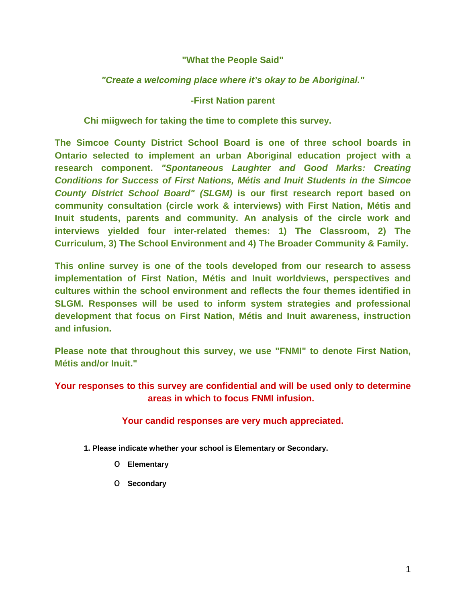# **"What the People Said"**

# *"Create a welcoming place where it's okay to be Aboriginal."*

### **-First Nation parent**

**Chi miigwech for taking the time to complete this survey.** 

**The Simcoe County District School Board is one of three school boards in Ontario selected to implement an urban Aboriginal education project with a research component.** *"Spontaneous Laughter and Good Marks: Creating Conditions for Success of First Nations, Métis and Inuit Students in the Simcoe County District School Board" (SLGM)* **is our first research report based on community consultation (circle work & interviews) with First Nation, Métis and Inuit students, parents and community. An analysis of the circle work and interviews yielded four inter-related themes: 1) The Classroom, 2) The Curriculum, 3) The School Environment and 4) The Broader Community & Family.** 

**This online survey is one of the tools developed from our research to assess implementation of First Nation, Métis and Inuit worldviews, perspectives and cultures within the school environment and reflects the four themes identified in SLGM. Responses will be used to inform system strategies and professional development that focus on First Nation, Métis and Inuit awareness, instruction and infusion.** 

**Please note that throughout this survey, we use "FNMI" to denote First Nation, Métis and/or Inuit."** 

**Your responses to this survey are confidential and will be used only to determine areas in which to focus FNMI infusion.** 

### **Your candid responses are very much appreciated.**

- **1. Please indicate whether your school is Elementary or Secondary.** 
	- o **Elementary**
	- o **Secondary**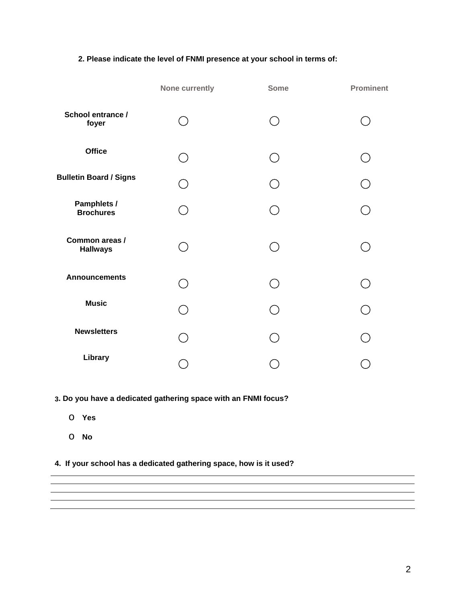### **2. Please indicate the level of FNMI presence at your school in terms of:**

|                                   | None currently                              | <b>Some</b> | <b>Prominent</b>         |
|-----------------------------------|---------------------------------------------|-------------|--------------------------|
| School entrance /<br>foyer        | $\left(\begin{array}{c} \end{array}\right)$ |             |                          |
| <b>Office</b>                     | ◯                                           |             |                          |
| <b>Bulletin Board / Signs</b>     | $\mathcal{L}$                               |             | ⌒                        |
| Pamphlets /<br><b>Brochures</b>   | $( \ )$                                     |             |                          |
| Common areas /<br><b>Hallways</b> | $\left(\begin{array}{c} \end{array}\right)$ |             |                          |
| <b>Announcements</b>              | $( \ )$                                     |             | $\overline{\phantom{0}}$ |
| <b>Music</b>                      | ∩                                           |             | ( )                      |
| <b>Newsletters</b>                |                                             |             | ◯                        |
| Library                           |                                             |             |                          |

**3. Do you have a dedicated gathering space with an FNMI focus?** 

- o **Yes**
- o **No**

**4. If your school has a dedicated gathering space, how is it used?**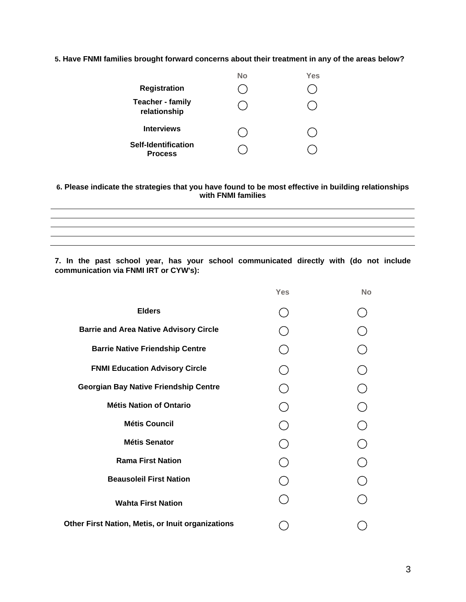#### **5. Have FNMI families brought forward concerns about their treatment in any of the areas below?**

|                                         | No | Yes |
|-----------------------------------------|----|-----|
| <b>Registration</b>                     |    |     |
| <b>Teacher - family</b><br>relationship |    |     |
| <b>Interviews</b>                       |    |     |
| Self-Identification<br><b>Process</b>   |    |     |

#### **6. Please indicate the strategies that you have found to be most effective in building relationships with FNMI families**

<u> 1989 - Johann Stoff, amerikansk politiker (\* 1908)</u> <u> 1989 - Andrea San Andrea San Andrea San Andrea San Andrea San Andrea San Andrea San Andrea San Andrea San An</u> <u> 1989 - Johann Stoff, amerikansk politiker (d. 1989)</u>

**7. In the past school year, has your school communicated directly with (do not include communication via FNMI IRT or CYW's):** 

|                                                   | <b>Yes</b> | <b>No</b> |
|---------------------------------------------------|------------|-----------|
| <b>Elders</b>                                     |            |           |
| <b>Barrie and Area Native Advisory Circle</b>     |            |           |
| <b>Barrie Native Friendship Centre</b>            |            |           |
| <b>FNMI Education Advisory Circle</b>             |            |           |
| <b>Georgian Bay Native Friendship Centre</b>      |            |           |
| <b>Métis Nation of Ontario</b>                    |            |           |
| <b>Métis Council</b>                              |            |           |
| <b>Métis Senator</b>                              |            |           |
| <b>Rama First Nation</b>                          |            |           |
| <b>Beausoleil First Nation</b>                    |            |           |
| <b>Wahta First Nation</b>                         |            |           |
| Other First Nation, Metis, or Inuit organizations |            |           |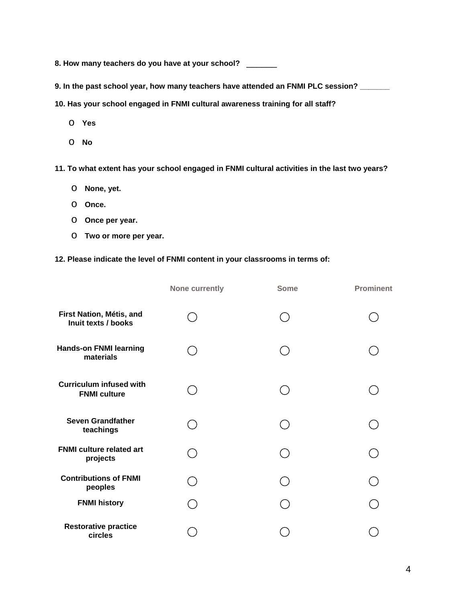**8. How many teachers do you have at your school?** \_\_\_\_\_\_

**9. In the past school year, how many teachers have attended an FNMI PLC session? \_\_\_\_\_\_\_**

**10. Has your school engaged in FNMI cultural awareness training for all staff?** 

- o **Yes**
- o **No**

**11. To what extent has your school engaged in FNMI cultural activities in the last two years?** 

- o **None, yet.**
- o **Once.**
- o **Once per year.**
- o **Two or more per year.**

### **12. Please indicate the level of FNMI content in your classrooms in terms of:**

|                                                       | <b>None currently</b> | <b>Some</b> | <b>Prominent</b> |
|-------------------------------------------------------|-----------------------|-------------|------------------|
| First Nation, Métis, and<br>Inuit texts / books       |                       |             |                  |
| <b>Hands-on FNMI learning</b><br>materials            |                       |             |                  |
| <b>Curriculum infused with</b><br><b>FNMI culture</b> |                       |             |                  |
| <b>Seven Grandfather</b><br>teachings                 |                       |             |                  |
| <b>FNMI culture related art</b><br>projects           |                       |             |                  |
| <b>Contributions of FNMI</b><br>peoples               |                       |             |                  |
| <b>FNMI history</b>                                   |                       |             |                  |
| <b>Restorative practice</b><br>circles                |                       |             |                  |